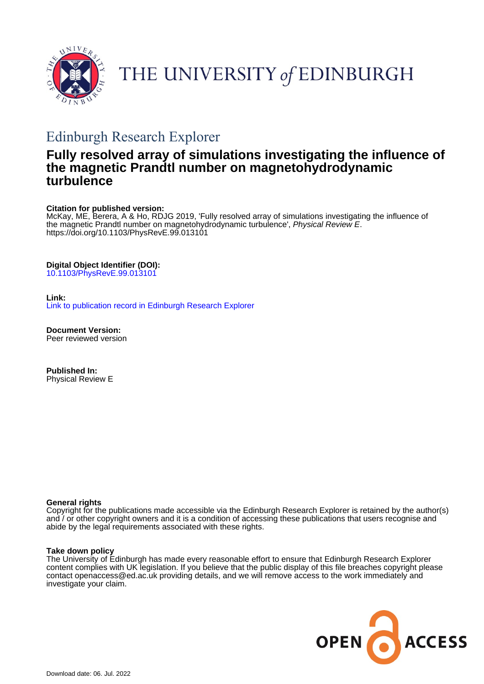

# THE UNIVERSITY of EDINBURGH

# Edinburgh Research Explorer

# **Fully resolved array of simulations investigating the influence of the magnetic Prandtl number on magnetohydrodynamic turbulence**

# **Citation for published version:**

McKay, ME, Berera, A & Ho, RDJG 2019, 'Fully resolved array of simulations investigating the influence of the magnetic Prandtl number on magnetohydrodynamic turbulence', Physical Review E. <https://doi.org/10.1103/PhysRevE.99.013101>

# **Digital Object Identifier (DOI):**

[10.1103/PhysRevE.99.013101](https://doi.org/10.1103/PhysRevE.99.013101)

## **Link:**

[Link to publication record in Edinburgh Research Explorer](https://www.research.ed.ac.uk/en/publications/7e433fef-7193-4879-a353-940a60ff75d8)

**Document Version:** Peer reviewed version

**Published In:** Physical Review E

### **General rights**

Copyright for the publications made accessible via the Edinburgh Research Explorer is retained by the author(s) and / or other copyright owners and it is a condition of accessing these publications that users recognise and abide by the legal requirements associated with these rights.

### **Take down policy**

The University of Edinburgh has made every reasonable effort to ensure that Edinburgh Research Explorer content complies with UK legislation. If you believe that the public display of this file breaches copyright please contact openaccess@ed.ac.uk providing details, and we will remove access to the work immediately and investigate your claim.

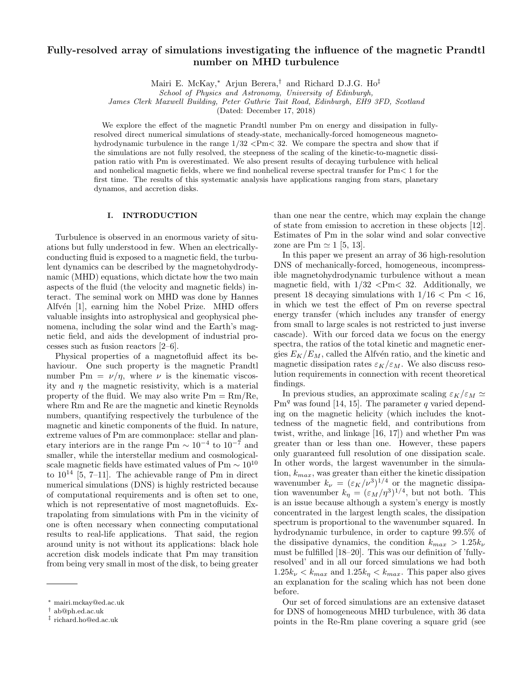# Fully-resolved array of simulations investigating the influence of the magnetic Prandtl number on MHD turbulence

Mairi E. McKay,<sup>∗</sup> Arjun Berera,† and Richard D.J.G. Ho‡

School of Physics and Astronomy, University of Edinburgh,

James Clerk Maxwell Building, Peter Guthrie Tait Road, Edinburgh, EH9 3FD, Scotland

(Dated: December 17, 2018)

We explore the effect of the magnetic Prandtl number Pm on energy and dissipation in fullyresolved direct numerical simulations of steady-state, mechanically-forced homogeneous magnetohydrodynamic turbulence in the range  $1/32 < Pm < 32$ . We compare the spectra and show that if the simulations are not fully resolved, the steepness of the scaling of the kinetic-to-magnetic dissipation ratio with Pm is overestimated. We also present results of decaying turbulence with helical and nonhelical magnetic fields, where we find nonhelical reverse spectral transfer for  $Pm < 1$  for the first time. The results of this systematic analysis have applications ranging from stars, planetary dynamos, and accretion disks.

#### I. INTRODUCTION

Turbulence is observed in an enormous variety of situations but fully understood in few. When an electricallyconducting fluid is exposed to a magnetic field, the turbulent dynamics can be described by the magnetohydrodynamic (MHD) equations, which dictate how the two main aspects of the fluid (the velocity and magnetic fields) interact. The seminal work on MHD was done by Hannes Alfvén [1], earning him the Nobel Prize. MHD offers valuable insights into astrophysical and geophysical phenomena, including the solar wind and the Earth's magnetic field, and aids the development of industrial processes such as fusion reactors [2–6].

Physical properties of a magnetofluid affect its behaviour. One such property is the magnetic Prandtl number Pm =  $\nu/\eta$ , where  $\nu$  is the kinematic viscosity and  $\eta$  the magnetic resistivity, which is a material property of the fluid. We may also write  $Pm = Rm/Re$ , where Rm and Re are the magnetic and kinetic Reynolds numbers, quantifying respectively the turbulence of the magnetic and kinetic components of the fluid. In nature, extreme values of Pm are commonplace: stellar and planetary interiors are in the range Pm  $\sim 10^{-4}$  to  $10^{-7}$  and smaller, while the interstellar medium and cosmologicalscale magnetic fields have estimated values of Pm  $\sim 10^{10}$ to  $10^{14}$  [5, 7–11]. The achievable range of Pm in direct numerical simulations (DNS) is highly restricted because of computational requirements and is often set to one, which is not representative of most magnetofluids. Extrapolating from simulations with Pm in the vicinity of one is often necessary when connecting computational results to real-life applications. That said, the region around unity is not without its applications: black hole accretion disk models indicate that Pm may transition from being very small in most of the disk, to being greater

than one near the centre, which may explain the change of state from emission to accretion in these objects [12]. Estimates of Pm in the solar wind and solar convective zone are Pm  $\simeq$  1 [5, 13].

In this paper we present an array of 36 high-resolution DNS of mechanically-forced, homogeneous, incompressible magnetohydrodynamic turbulence without a mean magnetic field, with  $1/32$  <Pm< 32. Additionally, we present 18 decaying simulations with  $1/16 < \mathrm{Pm} < 16$ , in which we test the effect of Pm on reverse spectral energy transfer (which includes any transfer of energy from small to large scales is not restricted to just inverse cascade). With our forced data we focus on the energy spectra, the ratios of the total kinetic and magnetic energies  $E_K/E_M$ , called the Alfvén ratio, and the kinetic and magnetic dissipation rates  $\varepsilon_K/\varepsilon_M$ . We also discuss resolution requirements in connection with recent theoretical findings.

In previous studies, an approximate scaling  $\varepsilon_K/\varepsilon_M \simeq$  $Pm<sup>q</sup>$  was found [14, 15]. The parameter q varied depending on the magnetic helicity (which includes the knottedness of the magnetic field, and contributions from twist, writhe, and linkage [16, 17]) and whether Pm was greater than or less than one. However, these papers only guaranteed full resolution of one dissipation scale. In other words, the largest wavenumber in the simulation,  $k_{max}$ , was greater than either the kinetic dissipation wavenumber  $k_{\nu} = (\varepsilon_K/\nu^3)^{1/4}$  or the magnetic dissipation wavenumber  $k_{\eta} = (\varepsilon_M/\eta^3)^{1/4}$ , but not both. This is an issue because although a system's energy is mostly concentrated in the largest length scales, the dissipation spectrum is proportional to the wavenumber squared. In hydrodynamic turbulence, in order to capture 99.5% of the dissipative dynamics, the condition  $k_{max} > 1.25 k_{\nu}$ must be fulfilled [18–20]. This was our definition of 'fullyresolved' and in all our forced simulations we had both  $1.25k<sub>\nu</sub> < k<sub>max</sub>$  and  $1.25k<sub>\eta</sub> < k<sub>max</sub>$ . This paper also gives an explanation for the scaling which has not been done before.

Our set of forced simulations are an extensive dataset for DNS of homogeneous MHD turbulence, with 36 data points in the Re-Rm plane covering a square grid (see

<sup>∗</sup> mairi.mckay@ed.ac.uk

<sup>†</sup> ab@ph.ed.ac.uk

<sup>‡</sup> richard.ho@ed.ac.uk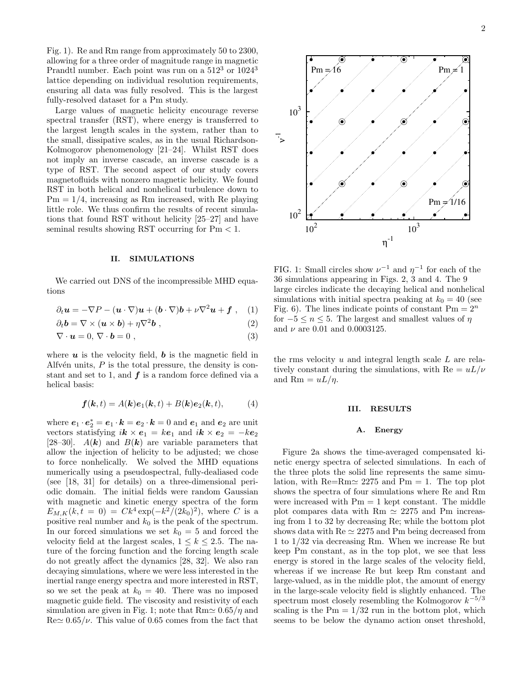Fig. 1). Re and Rm range from approximately 50 to 2300, allowing for a three order of magnitude range in magnetic Prandtl number. Each point was run on a  $512^3$  or  $1024^3$ lattice depending on individual resolution requirements, ensuring all data was fully resolved. This is the largest fully-resolved dataset for a Pm study.

Large values of magnetic helicity encourage reverse spectral transfer (RST), where energy is transferred to the largest length scales in the system, rather than to the small, dissipative scales, as in the usual Richardson-Kolmogorov phenomenology [21–24]. Whilst RST does not imply an inverse cascade, an inverse cascade is a type of RST. The second aspect of our study covers magnetofluids with nonzero magnetic helicity. We found RST in both helical and nonhelical turbulence down to  $Pm = 1/4$ , increasing as Rm increased, with Re playing little role. We thus confirm the results of recent simulations that found RST without helicity [25–27] and have seminal results showing RST occurring for  $Pm < 1$ .

#### II. SIMULATIONS

We carried out DNS of the incompressible MHD equations

$$
\partial_t \mathbf{u} = -\nabla P - (\mathbf{u} \cdot \nabla) \mathbf{u} + (\mathbf{b} \cdot \nabla) \mathbf{b} + \nu \nabla^2 \mathbf{u} + \mathbf{f} \ , \quad (1)
$$

$$
\partial_t \mathbf{b} = \nabla \times (\mathbf{u} \times \mathbf{b}) + \eta \nabla^2 \mathbf{b} , \qquad (2)
$$

$$
\nabla \cdot \mathbf{u} = 0, \, \nabla \cdot \mathbf{b} = 0 \tag{3}
$$

where  $u$  is the velocity field,  $b$  is the magnetic field in Alfv $\acute{e}n$  units, P is the total pressure, the density is constant and set to 1, and  $f$  is a random force defined via a helical basis:

$$
\boldsymbol{f}(\boldsymbol{k},t) = A(\boldsymbol{k})\boldsymbol{e}_1(\boldsymbol{k},t) + B(\boldsymbol{k})\boldsymbol{e}_2(\boldsymbol{k},t), \tag{4}
$$

where  $e_1 \cdot e_2^* = e_1 \cdot k = e_2 \cdot k = 0$  and  $e_1$  and  $e_2$  are unit vectors statisfying  $i\mathbf{k} \times \mathbf{e}_1 = k\mathbf{e}_1$  and  $i\mathbf{k} \times \mathbf{e}_2 = -k\mathbf{e}_2$ [28–30].  $A(\mathbf{k})$  and  $B(\mathbf{k})$  are variable parameters that allow the injection of helicity to be adjusted; we chose to force nonhelically. We solved the MHD equations numerically using a pseudospectral, fully-dealiased code (see [18, 31] for details) on a three-dimensional periodic domain. The initial fields were random Gaussian with magnetic and kinetic energy spectra of the form  $E_{M,K}(k,t=0) = Ck^4 \exp(-k^2/(2k_0)^2)$ , where C is a positive real number and  $k_0$  is the peak of the spectrum. In our forced simulations we set  $k_0 = 5$  and forced the velocity field at the largest scales,  $1 \leq k \leq 2.5$ . The nature of the forcing function and the forcing length scale do not greatly affect the dynamics [28, 32]. We also ran decaying simulations, where we were less interested in the inertial range energy spectra and more interested in RST, so we set the peak at  $k_0 = 40$ . There was no imposed magnetic guide field. The viscosity and resistivity of each simulation are given in Fig. 1; note that  $Rm \approx 0.65/\eta$  and  $\text{Re} \simeq 0.65/\nu$ . This value of 0.65 comes from the fact that



FIG. 1: Small circles show  $\nu^{-1}$  and  $\eta^{-1}$  for each of the 36 simulations appearing in Figs. 2, 3 and 4. The 9 large circles indicate the decaying helical and nonhelical simulations with initial spectra peaking at  $k_0 = 40$  (see Fig. 6). The lines indicate points of constant  $Pm = 2<sup>n</sup>$ for  $-5 \le n \le 5$ . The largest and smallest values of  $\eta$ and  $\nu$  are 0.01 and 0.0003125.

the rms velocity  $u$  and integral length scale  $L$  are relatively constant during the simulations, with  $Re = uL/\nu$ and Rm =  $uL/\eta$ .

#### III. RESULTS

#### A. Energy

Figure 2a shows the time-averaged compensated kinetic energy spectra of selected simulations. In each of the three plots the solid line represents the same simulation, with  $\text{Re}=\text{Rm} \approx 2275$  and  $\text{Pm} = 1$ . The top plot shows the spectra of four simulations where Re and Rm were increased with  $Pm = 1$  kept constant. The middle plot compares data with Rm  $\simeq 2275$  and Pm increasing from 1 to 32 by decreasing Re; while the bottom plot shows data with  $\text{Re} \simeq 2275$  and Pm being decreased from 1 to 1/32 via decreasing Rm. When we increase Re but keep Pm constant, as in the top plot, we see that less energy is stored in the large scales of the velocity field, whereas if we increase Re but keep Rm constant and large-valued, as in the middle plot, the amount of energy in the large-scale velocity field is slightly enhanced. The spectrum most closely resembling the Kolmogorov  $k^{-5/3}$ scaling is the  $Pm = 1/32$  run in the bottom plot, which seems to be below the dynamo action onset threshold,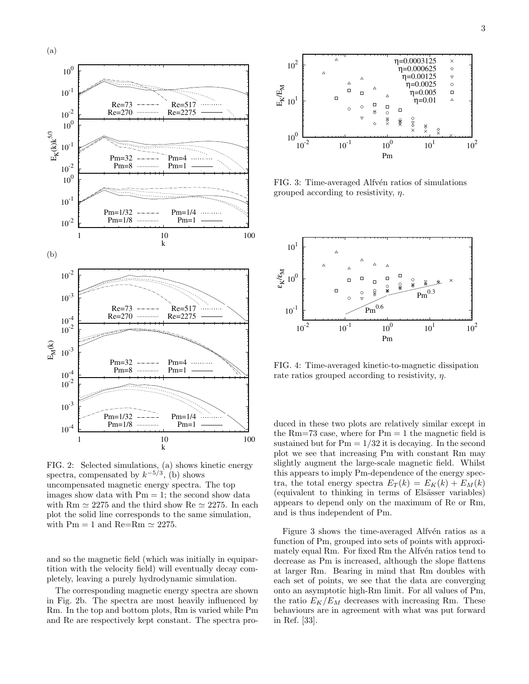

FIG. 2: Selected simulations, (a) shows kinetic energy spectra, compensated by  $k^{-5/3}$ , (b) shows uncompensated magnetic energy spectra. The top images show data with  $Pm = 1$ ; the second show data with Rm  $\simeq 2275$  and the third show Re  $\simeq 2275$ . In each plot the solid line corresponds to the same simulation, with Pm = 1 and Re=Rm  $\simeq 2275$ .

and so the magnetic field (which was initially in equipartition with the velocity field) will eventually decay completely, leaving a purely hydrodynamic simulation.

The corresponding magnetic energy spectra are shown in Fig. 2b. The spectra are most heavily influenced by Rm. In the top and bottom plots, Rm is varied while Pm and Re are respectively kept constant. The spectra pro-



FIG. 3: Time-averaged Alfvén ratios of simulations grouped according to resistivity,  $\eta$ .



FIG. 4: Time-averaged kinetic-to-magnetic dissipation rate ratios grouped according to resistivity,  $\eta$ .

duced in these two plots are relatively similar except in the Rm=73 case, where for  $Pm = 1$  the magnetic field is sustained but for  $Pm = 1/32$  it is decaying. In the second plot we see that increasing Pm with constant Rm may slightly augment the large-scale magnetic field. Whilst this appears to imply Pm-dependence of the energy spectra, the total energy spectra  $E_T(k) = E_K(k) + E_M(k)$ (equivalent to thinking in terms of Elsässer variables) appears to depend only on the maximum of Re or Rm, and is thus independent of Pm.

Figure 3 shows the time-averaged Alfvén ratios as a function of Pm, grouped into sets of points with approximately equal Rm. For fixed Rm the Alfvén ratios tend to decrease as Pm is increased, although the slope flattens at larger Rm. Bearing in mind that Rm doubles with each set of points, we see that the data are converging onto an asymptotic high-Rm limit. For all values of Pm, the ratio  $E_K/E_M$  decreases with increasing Rm. These behaviours are in agreement with what was put forward in Ref. [33].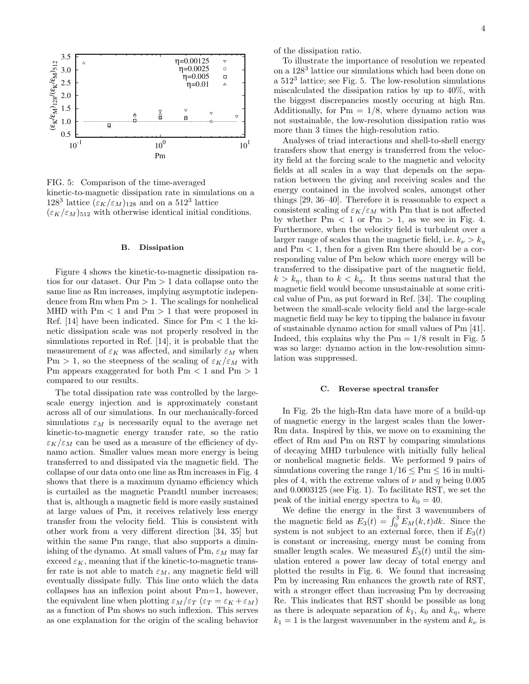

FIG. 5: Comparison of the time-averaged kinetic-to-magnetic dissipation rate in simulations on a 128<sup>3</sup> lattice  $(\varepsilon_K/\varepsilon_M)_{128}$  and on a 512<sup>3</sup> lattice  $(\varepsilon_K/\varepsilon_M)_{512}$  with otherwise identical initial conditions.

#### B. Dissipation

Figure 4 shows the kinetic-to-magnetic dissipation ratios for our dataset. Our Pm > 1 data collapse onto the same line as Rm increases, implying asymptotic independence from Rm when  $Pm > 1$ . The scalings for nonhelical MHD with  $Pm < 1$  and  $Pm > 1$  that were proposed in Ref. [14] have been indicated. Since for  $Pm < 1$  the kinetic dissipation scale was not properly resolved in the simulations reported in Ref. [14], it is probable that the measurement of  $\varepsilon_K$  was affected, and similarly  $\varepsilon_M$  when Pm > 1, so the steepness of the scaling of  $\varepsilon_K/\varepsilon_M$  with Pm appears exaggerated for both  $Pm < 1$  and  $Pm > 1$ compared to our results.

The total dissipation rate was controlled by the largescale energy injection and is approximately constant across all of our simulations. In our mechanically-forced simulations  $\varepsilon_M$  is necessarily equal to the average net kinetic-to-magnetic energy transfer rate, so the ratio  $\varepsilon_K/\varepsilon_M$  can be used as a measure of the efficiency of dynamo action. Smaller values mean more energy is being transferred to and dissipated via the magnetic field. The collapse of our data onto one line as Rm increases in Fig. 4 shows that there is a maximum dynamo efficiency which is curtailed as the magnetic Prandtl number increases; that is, although a magnetic field is more easily sustained at large values of Pm, it receives relatively less energy transfer from the velocity field. This is consistent with other work from a very different direction [34, 35] but within the same Pm range, that also supports a diminishing of the dynamo. At small values of Pm,  $\varepsilon_M$  may far exceed  $\varepsilon_K$ , meaning that if the kinetic-to-magnetic transfer rate is not able to match  $\varepsilon_M$ , any magnetic field will eventually dissipate fully. This line onto which the data collapses has an inflexion point about Pm=1, however, the equivalent line when plotting  $\varepsilon_M/\varepsilon_T$  ( $\varepsilon_T = \varepsilon_K + \varepsilon_M$ ) as a function of Pm shows no such inflexion. This serves as one explanation for the origin of the scaling behavior

of the dissipation ratio.

To illustrate the importance of resolution we repeated on a 128<sup>3</sup> lattice our simulations which had been done on a 512<sup>3</sup> lattice; see Fig. 5. The low-resolution simulations miscalculated the dissipation ratios by up to 40%, with the biggest discrepancies mostly occuring at high Rm. Additionally, for  $Pm = 1/8$ , where dynamo action was not sustainable, the low-resolution dissipation ratio was more than 3 times the high-resolution ratio.

Analyses of triad interactions and shell-to-shell energy transfers show that energy is transferred from the velocity field at the forcing scale to the magnetic and velocity fields at all scales in a way that depends on the separation between the giving and receiving scales and the energy contained in the involved scales, amongst other things [29, 36–40]. Therefore it is reasonable to expect a consistent scaling of  $\varepsilon_K/\varepsilon_M$  with Pm that is not affected by whether  $Pm < 1$  or  $Pm > 1$ , as we see in Fig. 4. Furthermore, when the velocity field is turbulent over a larger range of scales than the magnetic field, i.e.  $k_{\nu} > k_{n}$ and  $Pm < 1$ , then for a given Rm there should be a corresponding value of Pm below which more energy will be transferred to the dissipative part of the magnetic field,  $k > k_{\eta}$ , than to  $k < k_{\eta}$ . It thus seems natural that the magnetic field would become unsustainable at some critical value of Pm, as put forward in Ref. [34]. The coupling between the small-scale velocity field and the large-scale magnetic field may be key to tipping the balance in favour of sustainable dynamo action for small values of Pm [41]. Indeed, this explains why the  $Pm = 1/8$  result in Fig. 5 was so large: dynamo action in the low-resolution simulation was suppressed.

#### C. Reverse spectral transfer

In Fig. 2b the high-Rm data have more of a build-up of magnetic energy in the largest scales than the lower-Rm data. Inspired by this, we move on to examining the effect of Rm and Pm on RST by comparing simulations of decaying MHD turbulence with initially fully helical or nonhelical magnetic fields. We performed 9 pairs of simulations covering the range  $1/16 \leq Pm \leq 16$  in multiples of 4, with the extreme values of  $\nu$  and  $\eta$  being 0.005 and 0.0003125 (see Fig. 1). To facilitate RST, we set the peak of the initial energy spectra to  $k_0 = 40$ .

We define the energy in the first 3 wavenumbers of the magnetic field as  $E_3(t) = \int_0^3 E_M(k, t)dk$ . Since the system is not subject to an external force, then if  $E_3(t)$ is constant or increasing, energy must be coming from smaller length scales. We measured  $E_3(t)$  until the simulation entered a power law decay of total energy and plotted the results in Fig. 6. We found that increasing Pm by increasing Rm enhances the growth rate of RST, with a stronger effect than increasing Pm by decreasing Re. This indicates that RST should be possible as long as there is adequate separation of  $k_1$ ,  $k_0$  and  $k_\eta$ , where  $k_1 = 1$  is the largest wavenumber in the system and  $k_{\nu}$  is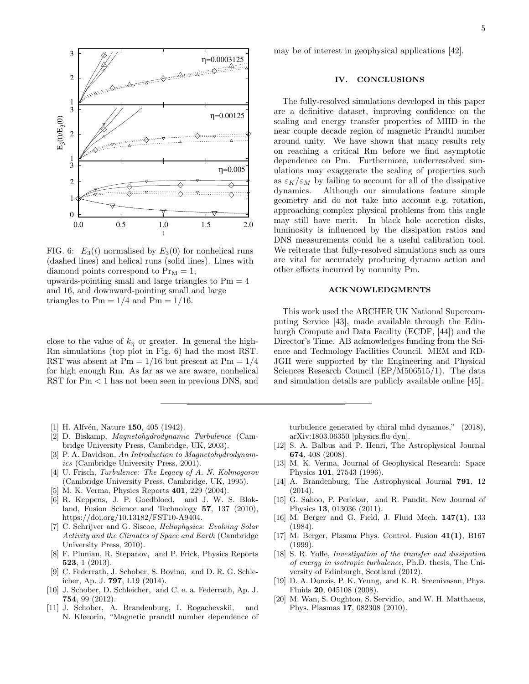

FIG. 6:  $E_3(t)$  normalised by  $E_3(0)$  for nonhelical runs (dashed lines) and helical runs (solid lines). Lines with diamond points correspond to  $Pr_M = 1$ ,

upwards-pointing small and large triangles to  $Pm = 4$ and 16, and downward-pointing small and large triangles to  $Pm = 1/4$  and  $Pm = 1/16$ .

close to the value of  $k_{\eta}$  or greater. In general the high-Rm simulations (top plot in Fig. 6) had the most RST. RST was absent at  $Pm = 1/16$  but present at  $Pm = 1/4$ for high enough Rm. As far as we are aware, nonhelical RST for Pm < 1 has not been seen in previous DNS, and

- [1] H. Alfvén, Nature 150, 405 (1942).
- [2] D. Biskamp, Magnetohydrodynamic Turbulence (Cambridge University Press, Cambridge, UK, 2003).
- [3] P. A. Davidson, An Introduction to Magnetohydrodynamics (Cambridge University Press, 2001).
- [4] U. Frisch, Turbulence: The Legacy of A. N. Kolmogorov (Cambridge University Press, Cambridge, UK, 1995).
- [5] M. K. Verma, Physics Reports 401, 229 (2004).
- [6] R. Keppens, J. P. Goedbloed, and J. W. S. Blokland, Fusion Science and Technology 57, 137 (2010), https://doi.org/10.13182/FST10-A9404.
- [7] C. Schrijver and G. Siscoe, Heliophysics: Evolving Solar Activity and the Climates of Space and Earth (Cambridge University Press, 2010).
- [8] F. Plunian, R. Stepanov, and P. Frick, Physics Reports 523, 1 (2013).
- [9] C. Federrath, J. Schober, S. Bovino, and D. R. G. Schleicher, Ap. J. 797, L19 (2014).
- [10] J. Schober, D. Schleicher, and C. e. a. Federrath, Ap. J. 754, 99 (2012).
- [11] J. Schober, A. Brandenburg, I. Rogachevskii, and N. Kleeorin, "Magnetic prandtl number dependence of

may be of interest in geophysical applications [42].

#### IV. CONCLUSIONS

The fully-resolved simulations developed in this paper are a definitive dataset, improving confidence on the scaling and energy transfer properties of MHD in the near couple decade region of magnetic Prandtl number around unity. We have shown that many results rely on reaching a critical Rm before we find asymptotic dependence on Pm. Furthermore, underresolved simulations may exaggerate the scaling of properties such as  $\varepsilon_K/\varepsilon_M$  by failing to account for all of the dissipative dynamics. Although our simulations feature simple geometry and do not take into account e.g. rotation, approaching complex physical problems from this angle may still have merit. In black hole accretion disks, luminosity is influenced by the dissipation ratios and DNS measurements could be a useful calibration tool. We reiterate that fully-resolved simulations such as ours are vital for accurately producing dynamo action and other effects incurred by nonunity Pm.

#### ACKNOWLEDGMENTS

This work used the ARCHER UK National Supercomputing Service [43], made available through the Edinburgh Compute and Data Facility (ECDF, [44]) and the Director's Time. AB acknowledges funding from the Science and Technology Facilities Council. MEM and RD-JGH were supported by the Engineering and Physical Sciences Research Council (EP/M506515/1). The data and simulation details are publicly available online [45].

turbulence generated by chiral mhd dynamos," (2018), arXiv:1803.06350 [physics.flu-dyn].

- [12] S. A. Balbus and P. Henri, The Astrophysical Journal 674, 408 (2008).
- [13] M. K. Verma, Journal of Geophysical Research: Space Physics 101, 27543 (1996).
- [14] A. Brandenburg, The Astrophysical Journal 791, 12 (2014).
- [15] G. Sahoo, P. Perlekar, and R. Pandit, New Journal of Physics 13, 013036 (2011).
- [16] M. Berger and G. Field, J. Fluid Mech.  $147(1)$ , 133 (1984).
- [17] M. Berger, Plasma Phys. Control. Fusion 41(1), B167 (1999).
- [18] S. R. Yoffe, Investigation of the transfer and dissipation of energy in isotropic turbulence, Ph.D. thesis, The University of Edinburgh, Scotland (2012).
- [19] D. A. Donzis, P. K. Yeung, and K. R. Sreenivasan, Phys. Fluids 20, 045108 (2008).
- [20] M. Wan, S. Oughton, S. Servidio, and W. H. Matthaeus, Phys. Plasmas 17, 082308 (2010).